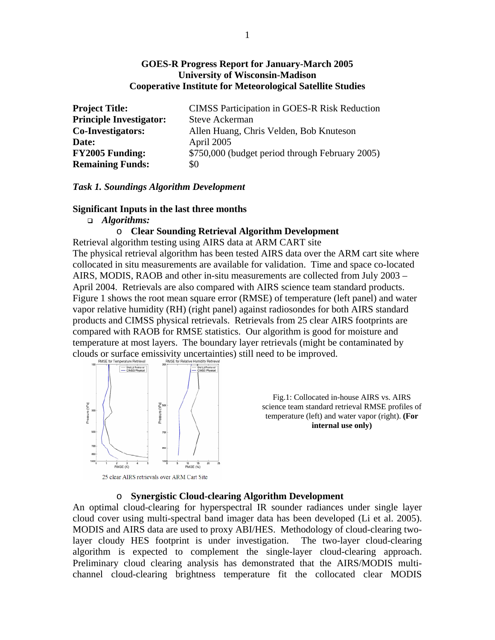# **GOES-R Progress Report for January-March 2005 University of Wisconsin-Madison Cooperative Institute for Meteorological Satellite Studies**

| <b>Project Title:</b>          | <b>CIMSS Participation in GOES-R Risk Reduction</b> |
|--------------------------------|-----------------------------------------------------|
| <b>Principle Investigator:</b> | Steve Ackerman                                      |
| <b>Co-Investigators:</b>       | Allen Huang, Chris Velden, Bob Knuteson             |
| Date:                          | April 2005                                          |
| <b>FY2005 Funding:</b>         | \$750,000 (budget period through February 2005)     |
| <b>Remaining Funds:</b>        | \$0                                                 |

### *Task 1. Soundings Algorithm Development*

### **Significant Inputs in the last three months**

### *Algorithms:*

# o **Clear Sounding Retrieval Algorithm Development**

Retrieval algorithm testing using AIRS data at ARM CART site The physical retrieval algorithm has been tested AIRS data over the ARM cart site where collocated in situ measurements are available for validation. Time and space co-located AIRS, MODIS, RAOB and other in-situ measurements are collected from July 2003 – April 2004. Retrievals are also compared with AIRS science team standard products. Figure 1 shows the root mean square error (RMSE) of temperature (left panel) and water vapor relative humidity (RH) (right panel) against radiosondes for both AIRS standard products and CIMSS physical retrievals. Retrievals from 25 clear AIRS footprints are compared with RAOB for RMSE statistics. Our algorithm is good for moisture and temperature at most layers. The boundary layer retrievals (might be contaminated by clouds or surface emissivity uncertainties) still need to be improved.



Fig.1: Collocated in-house AIRS vs. AIRS science team standard retrieval RMSE profiles of temperature (left) and water vapor (right). **(For internal use only)**

25 clear AIRS retrievals over ARM Cart Site

### o **Synergistic Cloud-clearing Algorithm Development**

An optimal cloud-clearing for hyperspectral IR sounder radiances under single layer cloud cover using multi-spectral band imager data has been developed (Li et al. 2005). MODIS and AIRS data are used to proxy ABI/HES. Methodology of cloud-clearing twolayer cloudy HES footprint is under investigation. The two-layer cloud-clearing algorithm is expected to complement the single-layer cloud-clearing approach. Preliminary cloud clearing analysis has demonstrated that the AIRS/MODIS multichannel cloud-clearing brightness temperature fit the collocated clear MODIS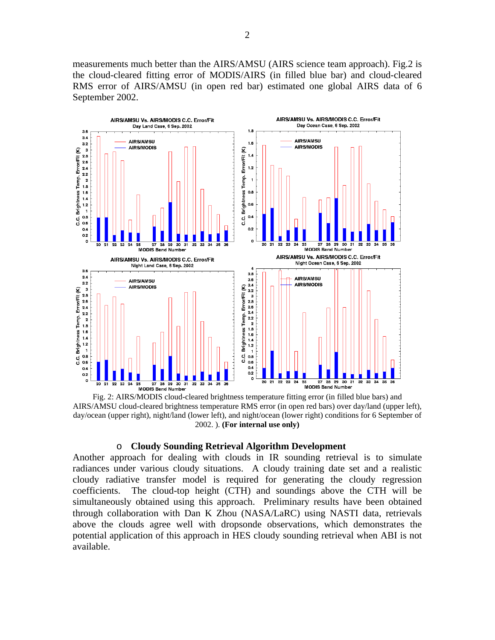measurements much better than the AIRS/AMSU (AIRS science team approach). Fig.2 is the cloud-cleared fitting error of MODIS/AIRS (in filled blue bar) and cloud-cleared RMS error of AIRS/AMSU (in open red bar) estimated one global AIRS data of 6 September 2002.



Fig. 2: AIRS/MODIS cloud-cleared brightness temperature fitting error (in filled blue bars) and AIRS/AMSU cloud-cleared brightness temperature RMS error (in open red bars) over day/land (upper left), day/ocean (upper right), night/land (lower left), and night/ocean (lower right) conditions for 6 September of 2002. ). **(For internal use only)**

#### o **Cloudy Sounding Retrieval Algorithm Development**

Another approach for dealing with clouds in IR sounding retrieval is to simulate radiances under various cloudy situations. A cloudy training date set and a realistic cloudy radiative transfer model is required for generating the cloudy regression coefficients. The cloud-top height (CTH) and soundings above the CTH will be simultaneously obtained using this approach. Preliminary results have been obtained through collaboration with Dan K Zhou (NASA/LaRC) using NASTI data, retrievals above the clouds agree well with dropsonde observations, which demonstrates the potential application of this approach in HES cloudy sounding retrieval when ABI is not available.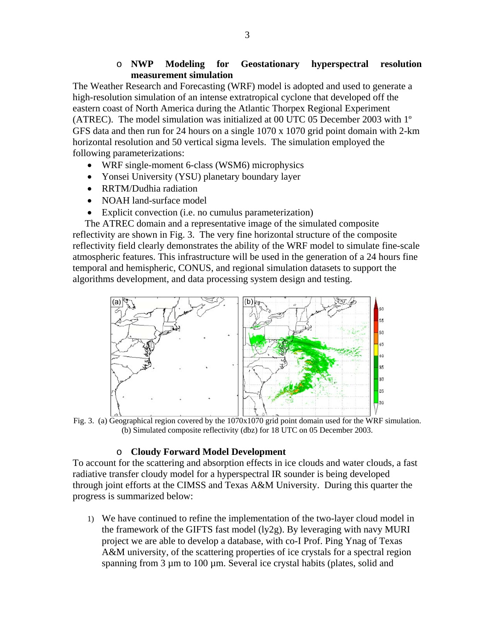# o **NWP Modeling for Geostationary hyperspectral resolution measurement simulation**

The Weather Research and Forecasting (WRF) model is adopted and used to generate a high-resolution simulation of an intense extratropical cyclone that developed off the eastern coast of North America during the Atlantic Thorpex Regional Experiment (ATREC). The model simulation was initialized at 00 UTC 05 December 2003 with 1º GFS data and then run for 24 hours on a single 1070 x 1070 grid point domain with 2-km horizontal resolution and 50 vertical sigma levels. The simulation employed the following parameterizations:

- WRF single-moment 6-class (WSM6) microphysics
- Yonsei University (YSU) planetary boundary layer
- RRTM/Dudhia radiation
- NOAH land-surface model
- Explicit convection (i.e. no cumulus parameterization)

 The ATREC domain and a representative image of the simulated composite reflectivity are shown in Fig. 3. The very fine horizontal structure of the composite reflectivity field clearly demonstrates the ability of the WRF model to simulate fine-scale atmospheric features. This infrastructure will be used in the generation of a 24 hours fine temporal and hemispheric, CONUS, and regional simulation datasets to support the algorithms development, and data processing system design and testing.



Fig. 3. (a) Geographical region covered by the  $1070x1070$  grid point domain used for the WRF simulation. (b) Simulated composite reflectivity (dbz) for 18 UTC on 05 December 2003.

# o **Cloudy Forward Model Development**

To account for the scattering and absorption effects in ice clouds and water clouds, a fast radiative transfer cloudy model for a hyperspectral IR sounder is being developed through joint efforts at the CIMSS and Texas A&M University. During this quarter the progress is summarized below:

1) We have continued to refine the implementation of the two-layer cloud model in the framework of the GIFTS fast model  $(\frac{1}{2}g)$ . By leveraging with navy MURI project we are able to develop a database, with co-I Prof. Ping Ynag of Texas A&M university, of the scattering properties of ice crystals for a spectral region spanning from 3 µm to 100 µm. Several ice crystal habits (plates, solid and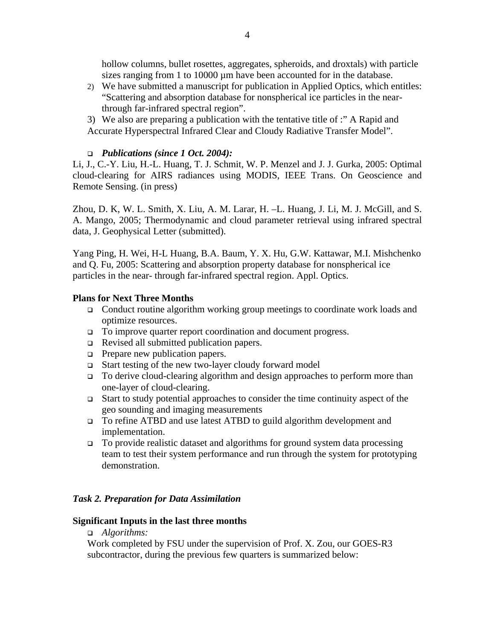hollow columns, bullet rosettes, aggregates, spheroids, and droxtals) with particle sizes ranging from 1 to 10000 µm have been accounted for in the database.

- 2) We have submitted a manuscript for publication in Applied Optics, which entitles: "Scattering and absorption database for nonspherical ice particles in the nearthrough far-infrared spectral region".
- 3) We also are preparing a publication with the tentative title of :" A Rapid and Accurate Hyperspectral Infrared Clear and Cloudy Radiative Transfer Model".

### *Publications (since 1 Oct. 2004):*

Li, J., C.-Y. Liu, H.-L. Huang, T. J. Schmit, W. P. Menzel and J. J. Gurka, 2005: Optimal cloud-clearing for AIRS radiances using MODIS, IEEE Trans. On Geoscience and Remote Sensing. (in press)

Zhou, D. K, W. L. Smith, X. Liu, A. M. Larar, H. –L. Huang, J. Li, M. J. McGill, and S. A. Mango, 2005; Thermodynamic and cloud parameter retrieval using infrared spectral data, J. Geophysical Letter (submitted).

Yang Ping, H. Wei, H-L Huang, B.A. Baum, Y. X. Hu, G.W. Kattawar, M.I. Mishchenko and Q. Fu, 2005: Scattering and absorption property database for nonspherical ice particles in the near- through far-infrared spectral region. Appl. Optics.

### **Plans for Next Three Months**

- Conduct routine algorithm working group meetings to coordinate work loads and optimize resources.
- □ To improve quarter report coordination and document progress.
- Revised all submitted publication papers.
- $\Box$  Prepare new publication papers.
- Start testing of the new two-layer cloudy forward model
- □ To derive cloud-clearing algorithm and design approaches to perform more than one-layer of cloud-clearing.
- Start to study potential approaches to consider the time continuity aspect of the geo sounding and imaging measurements
- To refine ATBD and use latest ATBD to guild algorithm development and implementation.
- $\Box$  To provide realistic dataset and algorithms for ground system data processing team to test their system performance and run through the system for prototyping demonstration.

### *Task 2. Preparation for Data Assimilation*

### **Significant Inputs in the last three months**

### *Algorithms:*

Work completed by FSU under the supervision of Prof. X. Zou, our GOES-R3 subcontractor, during the previous few quarters is summarized below: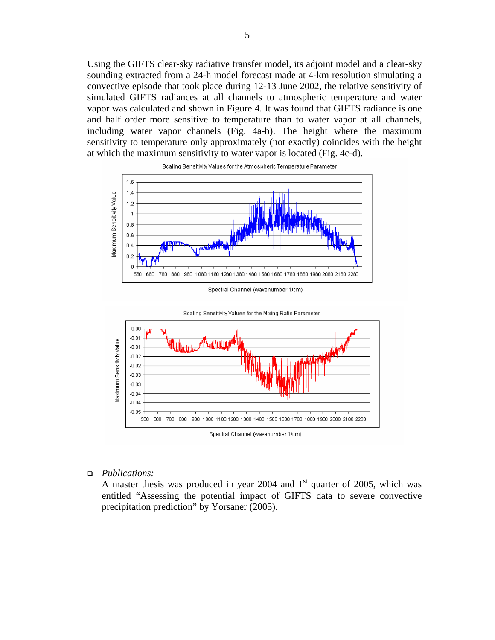Using the GIFTS clear-sky radiative transfer model, its adjoint model and a clear-sky sounding extracted from a 24-h model forecast made at 4-km resolution simulating a convective episode that took place during 12-13 June 2002, the relative sensitivity of simulated GIFTS radiances at all channels to atmospheric temperature and water vapor was calculated and shown in Figure 4. It was found that GIFTS radiance is one and half order more sensitive to temperature than to water vapor at all channels, including water vapor channels (Fig. 4a-b). The height where the maximum sensitivity to temperature only approximately (not exactly) coincides with the height at which the maximum sensitivity to water vapor is located (Fig. 4c-d).



Spectral Channel (wavenumber 1/cm)



Scaling Sensitivity Values for the Mixing Ratio Parameter

*Publications:* 

A master thesis was produced in year 2004 and  $1<sup>st</sup>$  quarter of 2005, which was entitled "Assessing the potential impact of GIFTS data to severe convective precipitation prediction" by Yorsaner (2005).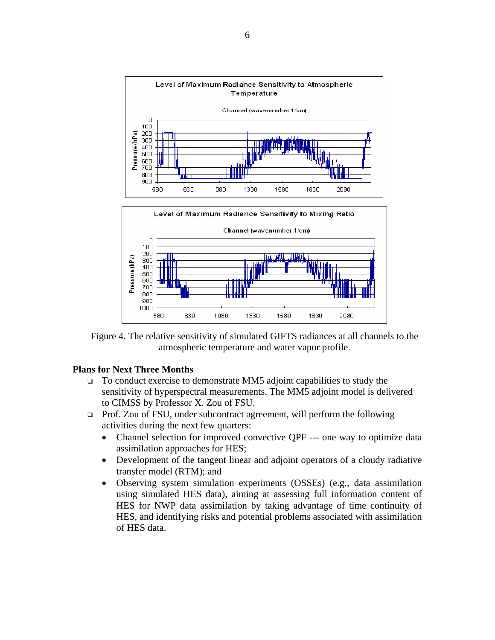

Figure 4. The relative sensitivity of simulated GIFTS radiances at all channels to the atmospheric temperature and water vapor profile.

### **Plans for Next Three Months**

- $\Box$  To conduct exercise to demonstrate MM5 adjoint capabilities to study the sensitivity of hyperspectral measurements. The MM5 adjoint model is delivered to CIMSS by Professor X. Zou of FSU.
- Prof. Zou of FSU, under subcontract agreement, will perform the following activities during the next few quarters:
	- Channel selection for improved convective QPF --- one way to optimize data assimilation approaches for HES;
	- Development of the tangent linear and adjoint operators of a cloudy radiative transfer model (RTM); and
	- Observing system simulation experiments (OSSEs) (e.g., data assimilation using simulated HES data), aiming at assessing full information content of HES for NWP data assimilation by taking advantage of time continuity of HES, and identifying risks and potential problems associated with assimilation of HES data.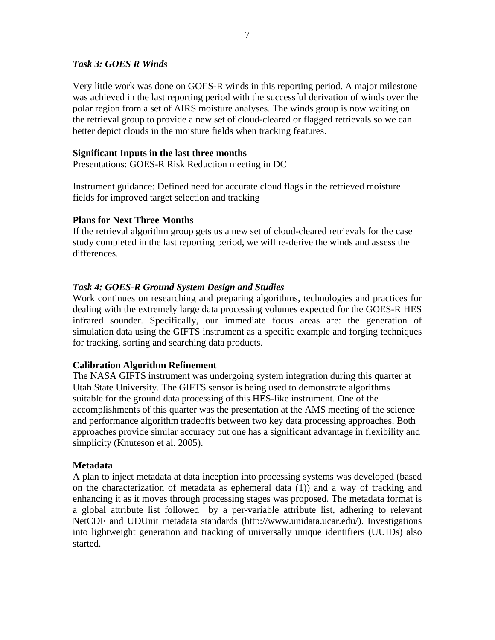## *Task 3: GOES R Winds*

Very little work was done on GOES-R winds in this reporting period. A major milestone was achieved in the last reporting period with the successful derivation of winds over the polar region from a set of AIRS moisture analyses. The winds group is now waiting on the retrieval group to provide a new set of cloud-cleared or flagged retrievals so we can better depict clouds in the moisture fields when tracking features.

## **Significant Inputs in the last three months**

Presentations: GOES-R Risk Reduction meeting in DC

Instrument guidance: Defined need for accurate cloud flags in the retrieved moisture fields for improved target selection and tracking

### **Plans for Next Three Months**

If the retrieval algorithm group gets us a new set of cloud-cleared retrievals for the case study completed in the last reporting period, we will re-derive the winds and assess the differences.

# *Task 4: GOES-R Ground System Design and Studies*

Work continues on researching and preparing algorithms, technologies and practices for dealing with the extremely large data processing volumes expected for the GOES-R HES infrared sounder. Specifically, our immediate focus areas are: the generation of simulation data using the GIFTS instrument as a specific example and forging techniques for tracking, sorting and searching data products.

# **Calibration Algorithm Refinement**

The NASA GIFTS instrument was undergoing system integration during this quarter at Utah State University. The GIFTS sensor is being used to demonstrate algorithms suitable for the ground data processing of this HES-like instrument. One of the accomplishments of this quarter was the presentation at the AMS meeting of the science and performance algorithm tradeoffs between two key data processing approaches. Both approaches provide similar accuracy but one has a significant advantage in flexibility and simplicity (Knuteson et al. 2005).

### **Metadata**

A plan to inject metadata at data inception into processing systems was developed (based on the characterization of metadata as ephemeral data (1)) and a way of tracking and enhancing it as it moves through processing stages was proposed. The metadata format is a global attribute list followed by a per-variable attribute list, adhering to relevant NetCDF and UDUnit metadata standards (http://www.unidata.ucar.edu/). Investigations into lightweight generation and tracking of universally unique identifiers (UUIDs) also started.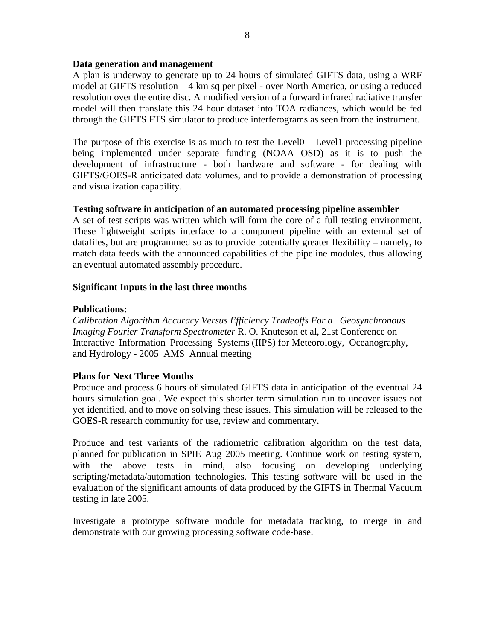### **Data generation and management**

A plan is underway to generate up to 24 hours of simulated GIFTS data, using a WRF model at GIFTS resolution – 4 km sq per pixel - over North America, or using a reduced resolution over the entire disc. A modified version of a forward infrared radiative transfer model will then translate this 24 hour dataset into TOA radiances, which would be fed through the GIFTS FTS simulator to produce interferograms as seen from the instrument.

The purpose of this exercise is as much to test the Level0 – Level1 processing pipeline being implemented under separate funding (NOAA OSD) as it is to push the development of infrastructure - both hardware and software - for dealing with GIFTS/GOES-R anticipated data volumes, and to provide a demonstration of processing and visualization capability.

# **Testing software in anticipation of an automated processing pipeline assembler**

A set of test scripts was written which will form the core of a full testing environment. These lightweight scripts interface to a component pipeline with an external set of datafiles, but are programmed so as to provide potentially greater flexibility – namely, to match data feeds with the announced capabilities of the pipeline modules, thus allowing an eventual automated assembly procedure.

### **Significant Inputs in the last three months**

### **Publications:**

*Calibration Algorithm Accuracy Versus Efficiency Tradeoffs For a Geosynchronous Imaging Fourier Transform Spectrometer* R. O. Knuteson et al, 21st Conference on Interactive Information Processing Systems (IIPS) for Meteorology, Oceanography, and Hydrology - 2005 AMS Annual meeting

# **Plans for Next Three Months**

Produce and process 6 hours of simulated GIFTS data in anticipation of the eventual 24 hours simulation goal. We expect this shorter term simulation run to uncover issues not yet identified, and to move on solving these issues. This simulation will be released to the GOES-R research community for use, review and commentary.

Produce and test variants of the radiometric calibration algorithm on the test data, planned for publication in SPIE Aug 2005 meeting. Continue work on testing system, with the above tests in mind, also focusing on developing underlying scripting/metadata/automation technologies. This testing software will be used in the evaluation of the significant amounts of data produced by the GIFTS in Thermal Vacuum testing in late 2005.

Investigate a prototype software module for metadata tracking, to merge in and demonstrate with our growing processing software code-base.